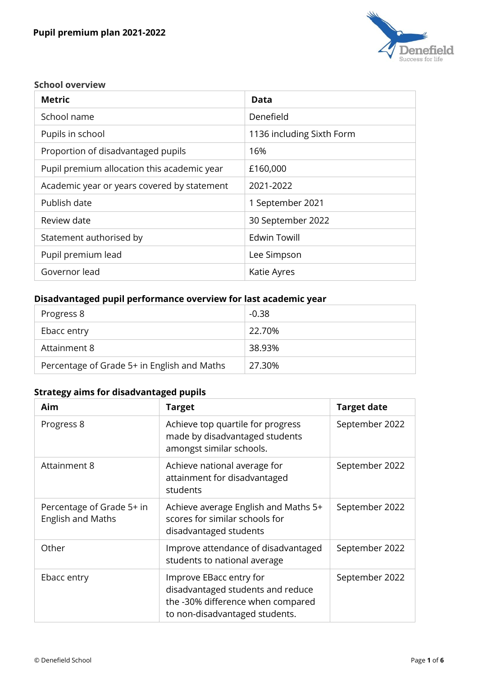

#### **School overview**

| <b>Metric</b>                               | <b>Data</b>               |
|---------------------------------------------|---------------------------|
| School name                                 | Denefield                 |
| Pupils in school                            | 1136 including Sixth Form |
| Proportion of disadvantaged pupils          | 16%                       |
| Pupil premium allocation this academic year | £160,000                  |
| Academic year or years covered by statement | 2021-2022                 |
| Publish date                                | 1 September 2021          |
| Review date                                 | 30 September 2022         |
| Statement authorised by                     | <b>Edwin Towill</b>       |
| Pupil premium lead                          | Lee Simpson               |
| Governor lead                               | Katie Ayres               |

## **Disadvantaged pupil performance overview for last academic year**

| Progress 8                                  | $-0.38$ |
|---------------------------------------------|---------|
| Ebacc entry                                 | 22.70%  |
| Attainment 8                                | 38.93%  |
| Percentage of Grade 5+ in English and Maths | 27.30%  |

# **Strategy aims for disadvantaged pupils**

| Aim                                            | <b>Target</b>                                                                                                                       | <b>Target date</b> |
|------------------------------------------------|-------------------------------------------------------------------------------------------------------------------------------------|--------------------|
| Progress 8                                     | Achieve top quartile for progress<br>made by disadvantaged students<br>amongst similar schools.                                     | September 2022     |
| Attainment 8                                   | Achieve national average for<br>attainment for disadvantaged<br>students                                                            | September 2022     |
| Percentage of Grade 5+ in<br>English and Maths | Achieve average English and Maths 5+<br>scores for similar schools for<br>disadvantaged students                                    | September 2022     |
| Other                                          | Improve attendance of disadvantaged<br>students to national average                                                                 | September 2022     |
| Ebacc entry                                    | Improve EBacc entry for<br>disadvantaged students and reduce<br>the -30% difference when compared<br>to non-disadvantaged students. | September 2022     |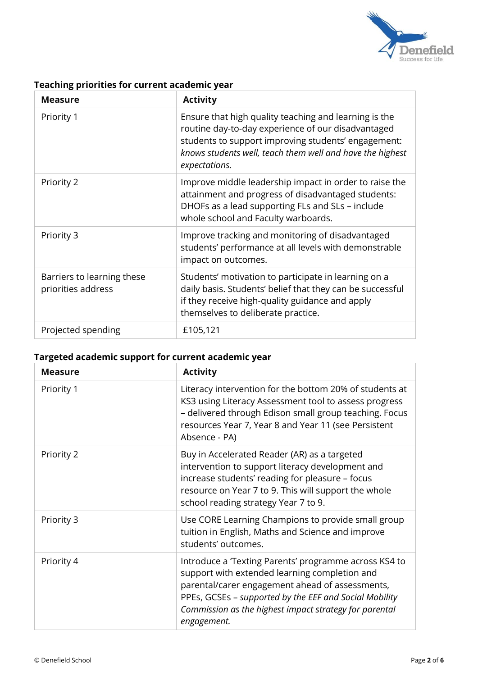

## **Teaching priorities for current academic year**

| <b>Measure</b>                                   | <b>Activity</b>                                                                                                                                                                                                                                  |
|--------------------------------------------------|--------------------------------------------------------------------------------------------------------------------------------------------------------------------------------------------------------------------------------------------------|
| Priority 1                                       | Ensure that high quality teaching and learning is the<br>routine day-to-day experience of our disadvantaged<br>students to support improving students' engagement:<br>knows students well, teach them well and have the highest<br>expectations. |
| Priority 2                                       | Improve middle leadership impact in order to raise the<br>attainment and progress of disadvantaged students:<br>DHOFs as a lead supporting FLs and SLs - include<br>whole school and Faculty warboards.                                          |
| Priority 3                                       | Improve tracking and monitoring of disadvantaged<br>students' performance at all levels with demonstrable<br>impact on outcomes.                                                                                                                 |
| Barriers to learning these<br>priorities address | Students' motivation to participate in learning on a<br>daily basis. Students' belief that they can be successful<br>if they receive high-quality guidance and apply<br>themselves to deliberate practice.                                       |
| Projected spending                               | £105,121                                                                                                                                                                                                                                         |

## **Targeted academic support for current academic year**

| <b>Measure</b> | <b>Activity</b>                                                                                                                                                                                                                                                                             |
|----------------|---------------------------------------------------------------------------------------------------------------------------------------------------------------------------------------------------------------------------------------------------------------------------------------------|
| Priority 1     | Literacy intervention for the bottom 20% of students at<br>KS3 using Literacy Assessment tool to assess progress<br>- delivered through Edison small group teaching. Focus<br>resources Year 7, Year 8 and Year 11 (see Persistent<br>Absence - PA)                                         |
| Priority 2     | Buy in Accelerated Reader (AR) as a targeted<br>intervention to support literacy development and<br>increase students' reading for pleasure - focus<br>resource on Year 7 to 9. This will support the whole<br>school reading strategy Year 7 to 9.                                         |
| Priority 3     | Use CORE Learning Champions to provide small group<br>tuition in English, Maths and Science and improve<br>students' outcomes.                                                                                                                                                              |
| Priority 4     | Introduce a Texting Parents' programme across KS4 to<br>support with extended learning completion and<br>parental/carer engagement ahead of assessments,<br>PPEs, GCSEs - supported by the EEF and Social Mobility<br>Commission as the highest impact strategy for parental<br>engagement. |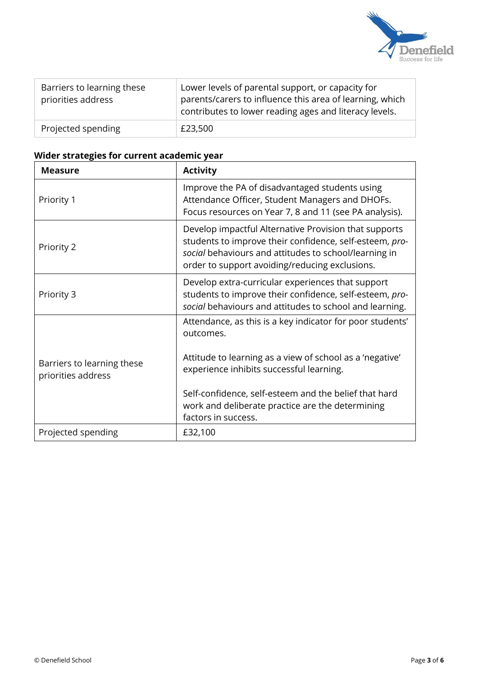

| Barriers to learning these<br>priorities address | Lower levels of parental support, or capacity for<br>parents/carers to influence this area of learning, which<br>contributes to lower reading ages and literacy levels. |
|--------------------------------------------------|-------------------------------------------------------------------------------------------------------------------------------------------------------------------------|
| Projected spending                               | £23,500                                                                                                                                                                 |

## **Wider strategies for current academic year**

| <b>Measure</b>                                   | <b>Activity</b>                                                                                                                                                                                                             |
|--------------------------------------------------|-----------------------------------------------------------------------------------------------------------------------------------------------------------------------------------------------------------------------------|
| Priority 1                                       | Improve the PA of disadvantaged students using<br>Attendance Officer, Student Managers and DHOFs.<br>Focus resources on Year 7, 8 and 11 (see PA analysis).                                                                 |
| Priority 2                                       | Develop impactful Alternative Provision that supports<br>students to improve their confidence, self-esteem, pro-<br>social behaviours and attitudes to school/learning in<br>order to support avoiding/reducing exclusions. |
| Priority 3                                       | Develop extra-curricular experiences that support<br>students to improve their confidence, self-esteem, pro-<br>social behaviours and attitudes to school and learning.                                                     |
|                                                  | Attendance, as this is a key indicator for poor students'<br>outcomes.                                                                                                                                                      |
| Barriers to learning these<br>priorities address | Attitude to learning as a view of school as a 'negative'<br>experience inhibits successful learning.                                                                                                                        |
|                                                  | Self-confidence, self-esteem and the belief that hard<br>work and deliberate practice are the determining<br>factors in success.                                                                                            |
| Projected spending                               | £32,100                                                                                                                                                                                                                     |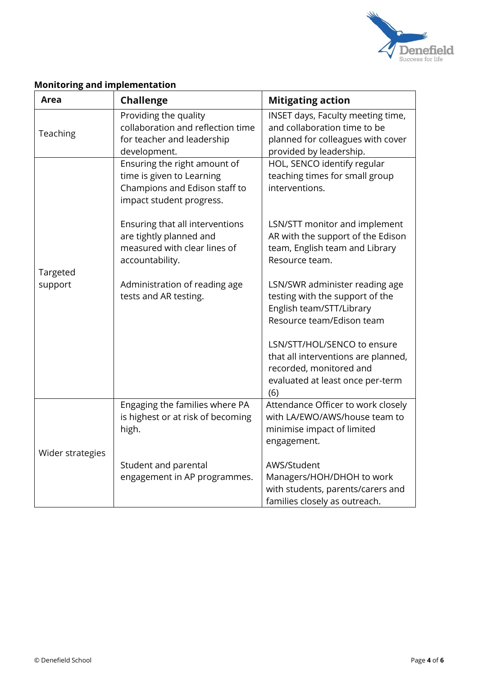

| <b>Area</b>                                                                                | <b>Challenge</b>                                                                                                       | <b>Mitigating action</b>                                                                                                                 |
|--------------------------------------------------------------------------------------------|------------------------------------------------------------------------------------------------------------------------|------------------------------------------------------------------------------------------------------------------------------------------|
| Teaching                                                                                   | Providing the quality<br>collaboration and reflection time<br>for teacher and leadership<br>development.               | INSET days, Faculty meeting time,<br>and collaboration time to be<br>planned for colleagues with cover<br>provided by leadership.        |
|                                                                                            | Ensuring the right amount of<br>time is given to Learning<br>Champions and Edison staff to<br>impact student progress. | HOL, SENCO identify regular<br>teaching times for small group<br>interventions.                                                          |
| are tightly planned and<br>accountability.<br>Targeted<br>support<br>tests and AR testing. | Ensuring that all interventions<br>measured with clear lines of                                                        | LSN/STT monitor and implement<br>AR with the support of the Edison<br>team, English team and Library<br>Resource team.                   |
|                                                                                            | Administration of reading age                                                                                          | LSN/SWR administer reading age<br>testing with the support of the<br>English team/STT/Library<br>Resource team/Edison team               |
|                                                                                            |                                                                                                                        | LSN/STT/HOL/SENCO to ensure<br>that all interventions are planned,<br>recorded, monitored and<br>evaluated at least once per-term<br>(6) |
|                                                                                            | Engaging the families where PA<br>is highest or at risk of becoming<br>high.                                           | Attendance Officer to work closely<br>with LA/EWO/AWS/house team to<br>minimise impact of limited<br>engagement.                         |
| Wider strategies                                                                           | Student and parental<br>engagement in AP programmes.                                                                   | AWS/Student<br>Managers/HOH/DHOH to work<br>with students, parents/carers and<br>families closely as outreach.                           |

## **Monitoring and implementation**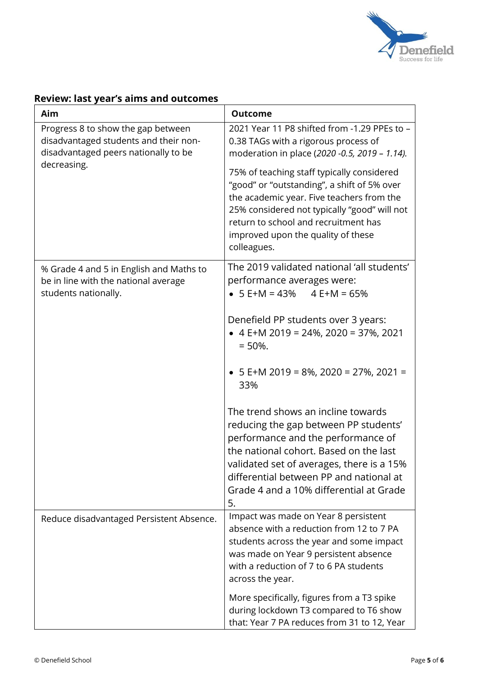

|  |  | <b>Review: last year's aims and outcomes</b> |
|--|--|----------------------------------------------|
|  |  |                                              |

| Aim                                                                                                                 | <b>Outcome</b>                                                                                                                                                                                                                                                                                       |
|---------------------------------------------------------------------------------------------------------------------|------------------------------------------------------------------------------------------------------------------------------------------------------------------------------------------------------------------------------------------------------------------------------------------------------|
| Progress 8 to show the gap between<br>disadvantaged students and their non-<br>disadvantaged peers nationally to be | 2021 Year 11 P8 shifted from -1.29 PPEs to -<br>0.38 TAGs with a rigorous process of<br>moderation in place (2020 -0.5, 2019 - 1.14).                                                                                                                                                                |
| decreasing.                                                                                                         | 75% of teaching staff typically considered<br>"good" or "outstanding", a shift of 5% over<br>the academic year. Five teachers from the<br>25% considered not typically "good" will not<br>return to school and recruitment has<br>improved upon the quality of these<br>colleagues.                  |
| % Grade 4 and 5 in English and Maths to<br>be in line with the national average<br>students nationally.             | The 2019 validated national 'all students'<br>performance averages were:<br>• $5 E+M = 43\%$ 4 $E+M = 65\%$                                                                                                                                                                                          |
|                                                                                                                     | Denefield PP students over 3 years:<br>• 4 E+M 2019 = 24%, 2020 = 37%, 2021<br>$= 50\%$ .                                                                                                                                                                                                            |
|                                                                                                                     | • $5 E+M 2019 = 8\%$ , 2020 = 27%, 2021 =<br>33%                                                                                                                                                                                                                                                     |
|                                                                                                                     | The trend shows an incline towards<br>reducing the gap between PP students'<br>performance and the performance of<br>the national cohort. Based on the last<br>validated set of averages, there is a 15%<br>differential between PP and national at<br>Grade 4 and a 10% differential at Grade<br>5. |
| Reduce disadvantaged Persistent Absence.                                                                            | Impact was made on Year 8 persistent<br>absence with a reduction from 12 to 7 PA<br>students across the year and some impact<br>was made on Year 9 persistent absence<br>with a reduction of 7 to 6 PA students<br>across the year.                                                                  |
|                                                                                                                     | More specifically, figures from a T3 spike<br>during lockdown T3 compared to T6 show<br>that: Year 7 PA reduces from 31 to 12, Year                                                                                                                                                                  |